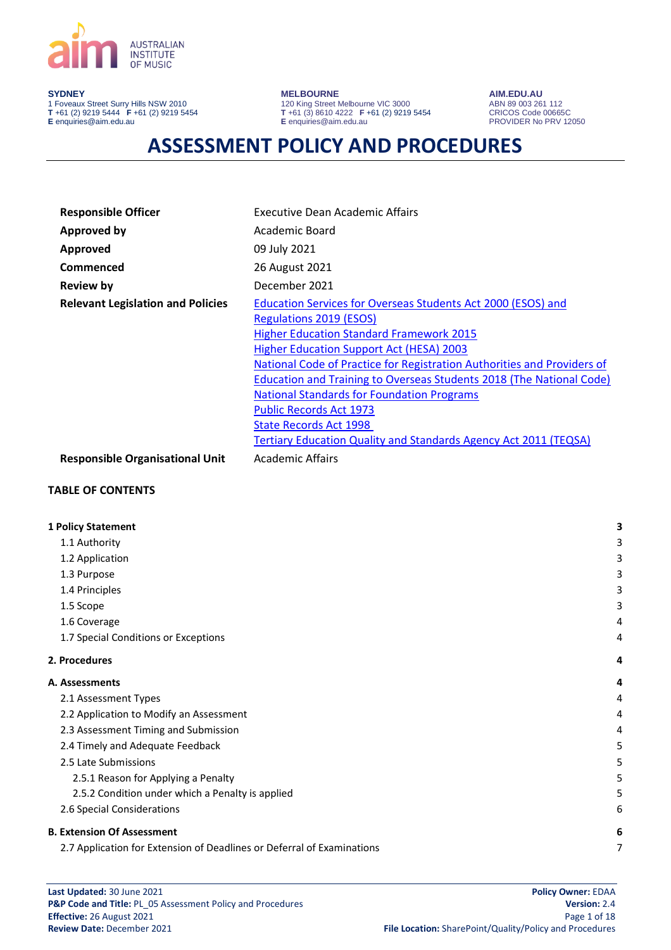

#### **SYDNEY**

1 Foveaux Street Surry Hills NSW 2010 **T** +61 (2) 9219 5444 **F** +61 (2) 9219 5454 **E** enquiries@aim.edu.au

**MELBOURNE**

120 King Street Melbourne VIC 3000 **T** +61 (3) 8610 4222 **F** +61 (2) 9219 5454 **E** enquiries@aim.edu.au

**AIM.EDU.AU** ABN 89 003 261 112 CRICOS Code 00665C PROVIDER No PRV 12050

# **ASSESSMENT POLICY AND PROCEDURES**

| <b>Responsible Officer</b>               | Executive Dean Academic Affairs                                             |
|------------------------------------------|-----------------------------------------------------------------------------|
| <b>Approved by</b>                       | Academic Board                                                              |
| Approved                                 | 09 July 2021                                                                |
| Commenced                                | 26 August 2021                                                              |
| <b>Review by</b>                         | December 2021                                                               |
| <b>Relevant Legislation and Policies</b> | Education Services for Overseas Students Act 2000 (ESOS) and                |
|                                          | <b>Regulations 2019 (ESOS)</b>                                              |
|                                          | <b>Higher Education Standard Framework 2015</b>                             |
|                                          | <b>Higher Education Support Act (HESA) 2003</b>                             |
|                                          | National Code of Practice for Registration Authorities and Providers of     |
|                                          | <b>Education and Training to Overseas Students 2018 (The National Code)</b> |
|                                          | <b>National Standards for Foundation Programs</b>                           |
|                                          | <b>Public Records Act 1973</b>                                              |
|                                          | <b>State Records Act 1998</b>                                               |
|                                          | Tertiary Education Quality and Standards Agency Act 2011 (TEQSA)            |
| <b>Responsible Organisational Unit</b>   | Academic Affairs                                                            |

### **TABLE OF CONTENTS**

| <b>1 Policy Statement</b>                                              | 3 |
|------------------------------------------------------------------------|---|
| 1.1 Authority                                                          | 3 |
| 1.2 Application                                                        | 3 |
| 1.3 Purpose                                                            | 3 |
| 1.4 Principles                                                         | 3 |
| 1.5 Scope                                                              | 3 |
| 1.6 Coverage                                                           | 4 |
| 1.7 Special Conditions or Exceptions                                   | 4 |
| 2. Procedures                                                          | 4 |
| A. Assessments                                                         | 4 |
| 2.1 Assessment Types                                                   | 4 |
| 2.2 Application to Modify an Assessment                                | 4 |
| 2.3 Assessment Timing and Submission                                   | 4 |
| 2.4 Timely and Adequate Feedback                                       | 5 |
| 2.5 Late Submissions                                                   | 5 |
| 2.5.1 Reason for Applying a Penalty                                    | 5 |
| 2.5.2 Condition under which a Penalty is applied                       | 5 |
| 2.6 Special Considerations                                             | 6 |
| <b>B. Extension Of Assessment</b>                                      | 6 |
| 2.7 Application for Extension of Deadlines or Deferral of Examinations | 7 |
|                                                                        |   |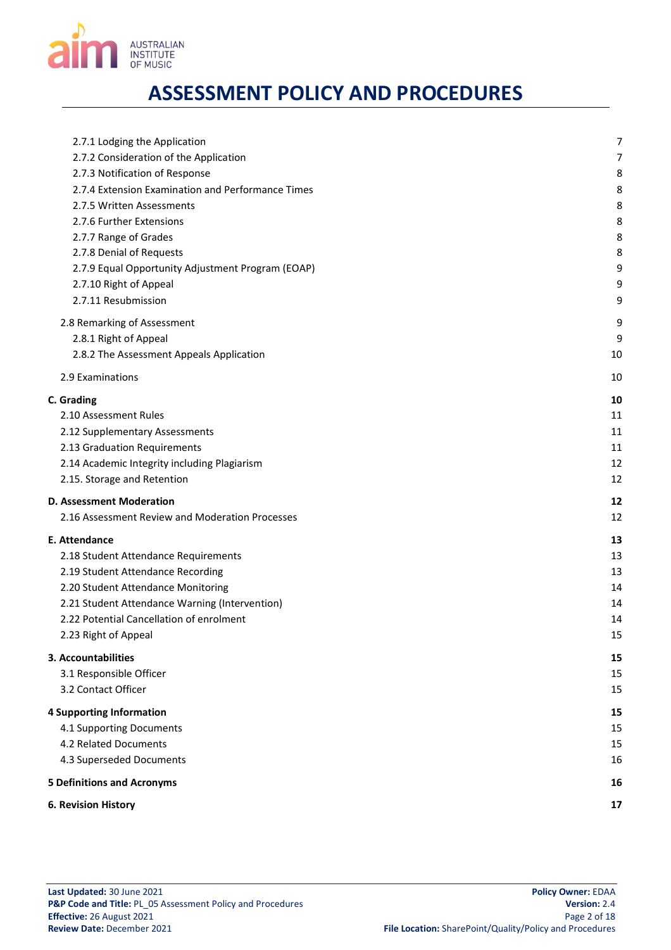

| 2.7.1 Lodging the Application                     | 7  |
|---------------------------------------------------|----|
| 2.7.2 Consideration of the Application            | 7  |
| 2.7.3 Notification of Response                    | 8  |
| 2.7.4 Extension Examination and Performance Times | 8  |
| 2.7.5 Written Assessments                         | 8  |
| 2.7.6 Further Extensions                          | 8  |
| 2.7.7 Range of Grades                             | 8  |
| 2.7.8 Denial of Requests                          | 8  |
| 2.7.9 Equal Opportunity Adjustment Program (EOAP) | 9  |
| 2.7.10 Right of Appeal                            | 9  |
| 2.7.11 Resubmission                               | 9  |
| 2.8 Remarking of Assessment                       | 9  |
| 2.8.1 Right of Appeal                             | 9  |
| 2.8.2 The Assessment Appeals Application          | 10 |
| 2.9 Examinations                                  | 10 |
| C. Grading                                        | 10 |
| 2.10 Assessment Rules                             | 11 |
| 2.12 Supplementary Assessments                    | 11 |
| 2.13 Graduation Requirements                      | 11 |
| 2.14 Academic Integrity including Plagiarism      | 12 |
| 2.15. Storage and Retention                       | 12 |
| <b>D. Assessment Moderation</b>                   | 12 |
| 2.16 Assessment Review and Moderation Processes   | 12 |
| <b>E. Attendance</b>                              | 13 |
| 2.18 Student Attendance Requirements              | 13 |
| 2.19 Student Attendance Recording                 | 13 |
| 2.20 Student Attendance Monitoring                | 14 |
| 2.21 Student Attendance Warning (Intervention)    | 14 |
| 2.22 Potential Cancellation of enrolment          | 14 |
| 2.23 Right of Appeal                              | 15 |
| 3. Accountabilities                               | 15 |
| 3.1 Responsible Officer                           | 15 |
| 3.2 Contact Officer                               | 15 |
| 4 Supporting Information                          | 15 |
| 4.1 Supporting Documents                          | 15 |
| 4.2 Related Documents                             | 15 |
| 4.3 Superseded Documents                          | 16 |
| <b>5 Definitions and Acronyms</b>                 | 16 |
| <b>6. Revision History</b>                        | 17 |
|                                                   |    |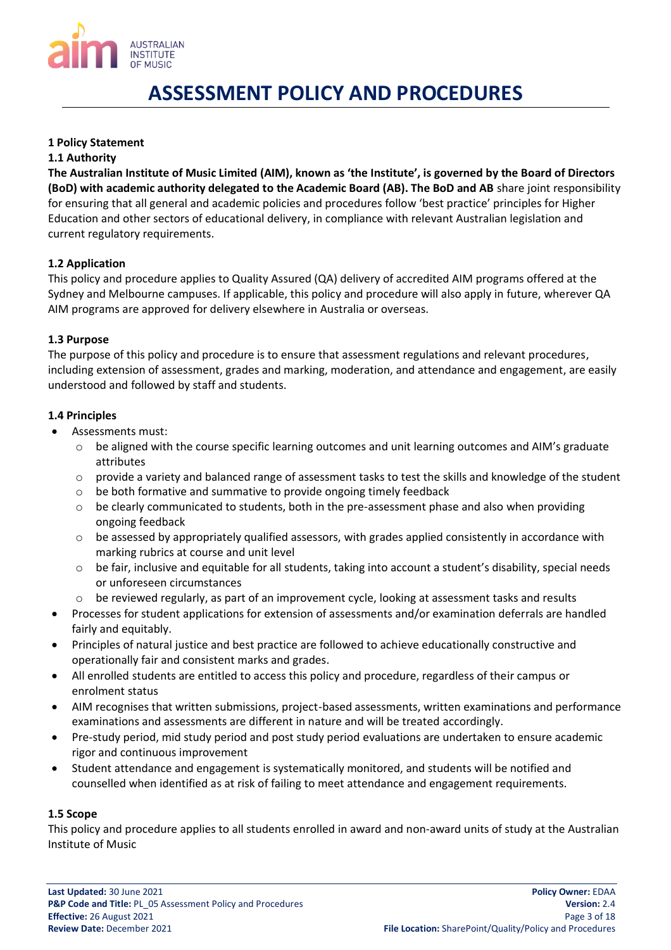

## <span id="page-2-0"></span>**1 Policy Statement**

### <span id="page-2-1"></span>**1.1 Authority**

**The Australian Institute of Music Limited (AIM), known as 'the Institute', is governed by the Board of Directors (BoD) with academic authority delegated to the Academic Board (AB). The BoD and AB** share joint responsibility for ensuring that all general and academic policies and procedures follow 'best practice' principles for Higher Education and other sectors of educational delivery, in compliance with relevant Australian legislation and current regulatory requirements.

## <span id="page-2-2"></span>**1.2 Application**

This policy and procedure applies to Quality Assured (QA) delivery of accredited AIM programs offered at the Sydney and Melbourne campuses. If applicable, this policy and procedure will also apply in future, wherever QA AIM programs are approved for delivery elsewhere in Australia or overseas.

## <span id="page-2-3"></span>**1.3 Purpose**

The purpose of this policy and procedure is to ensure that assessment regulations and relevant procedures, including extension of assessment, grades and marking, moderation, and attendance and engagement, are easily understood and followed by staff and students.

## <span id="page-2-4"></span>**1.4 Principles**

- Assessments must:
	- $\circ$  be aligned with the course specific learning outcomes and unit learning outcomes and AIM's graduate attributes
	- $\circ$  provide a variety and balanced range of assessment tasks to test the skills and knowledge of the student
	- o be both formative and summative to provide ongoing timely feedback
	- $\circ$  be clearly communicated to students, both in the pre-assessment phase and also when providing ongoing feedback
	- $\circ$  be assessed by appropriately qualified assessors, with grades applied consistently in accordance with marking rubrics at course and unit level
	- o be fair, inclusive and equitable for all students, taking into account a student's disability, special needs or unforeseen circumstances
	- o be reviewed regularly, as part of an improvement cycle, looking at assessment tasks and results
- Processes for student applications for extension of assessments and/or examination deferrals are handled fairly and equitably.
- Principles of natural justice and best practice are followed to achieve educationally constructive and operationally fair and consistent marks and grades.
- All enrolled students are entitled to access this policy and procedure, regardless of their campus or enrolment status
- AIM recognises that written submissions, project-based assessments, written examinations and performance examinations and assessments are different in nature and will be treated accordingly.
- Pre-study period, mid study period and post study period evaluations are undertaken to ensure academic rigor and continuous improvement
- Student attendance and engagement is systematically monitored, and students will be notified and counselled when identified as at risk of failing to meet attendance and engagement requirements.

### <span id="page-2-5"></span>**1.5 Scope**

This policy and procedure applies to all students enrolled in award and non-award units of study at the Australian Institute of Music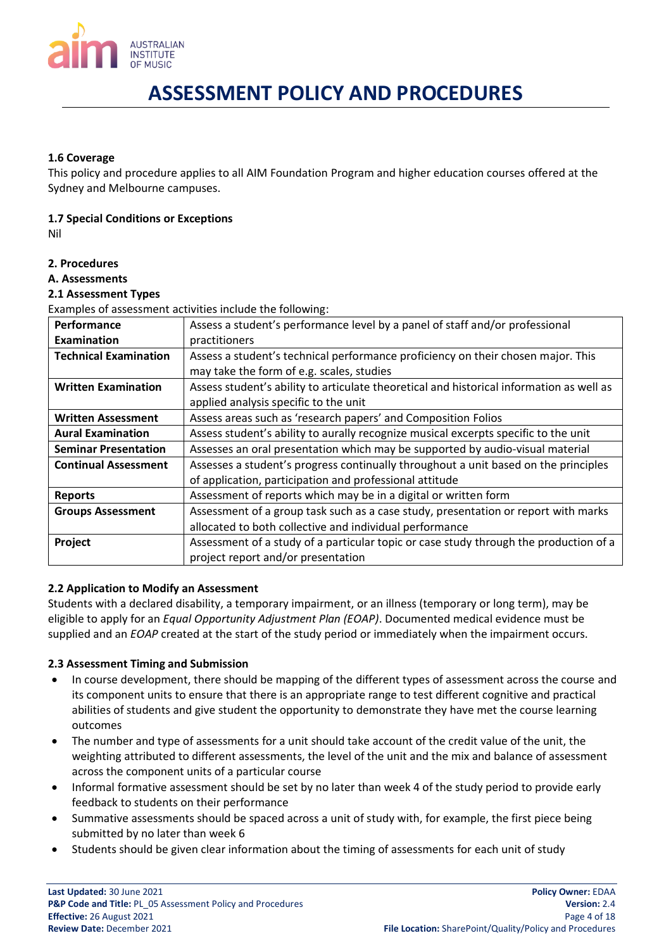

## <span id="page-3-0"></span>**1.6 Coverage**

This policy and procedure applies to all AIM Foundation Program and higher education courses offered at the Sydney and Melbourne campuses.

## <span id="page-3-1"></span>**1.7 Special Conditions or Exceptions**

Nil

## <span id="page-3-2"></span>**2. Procedures**

### <span id="page-3-3"></span>**A. Assessments**

## <span id="page-3-4"></span>**2.1 Assessment Types**

Examples of assessment activities include the following:

| <b>Performance</b>           | Assess a student's performance level by a panel of staff and/or professional             |  |  |
|------------------------------|------------------------------------------------------------------------------------------|--|--|
| <b>Examination</b>           | practitioners                                                                            |  |  |
| <b>Technical Examination</b> | Assess a student's technical performance proficiency on their chosen major. This         |  |  |
|                              | may take the form of e.g. scales, studies                                                |  |  |
| <b>Written Examination</b>   | Assess student's ability to articulate theoretical and historical information as well as |  |  |
|                              | applied analysis specific to the unit                                                    |  |  |
| <b>Written Assessment</b>    | Assess areas such as 'research papers' and Composition Folios                            |  |  |
| <b>Aural Examination</b>     | Assess student's ability to aurally recognize musical excerpts specific to the unit      |  |  |
| <b>Seminar Presentation</b>  | Assesses an oral presentation which may be supported by audio-visual material            |  |  |
| <b>Continual Assessment</b>  | Assesses a student's progress continually throughout a unit based on the principles      |  |  |
|                              | of application, participation and professional attitude                                  |  |  |
| <b>Reports</b>               | Assessment of reports which may be in a digital or written form                          |  |  |
| <b>Groups Assessment</b>     | Assessment of a group task such as a case study, presentation or report with marks       |  |  |
|                              | allocated to both collective and individual performance                                  |  |  |
| Project                      | Assessment of a study of a particular topic or case study through the production of a    |  |  |
|                              | project report and/or presentation                                                       |  |  |

### <span id="page-3-5"></span>**2.2 Application to Modify an Assessment**

Students with a declared disability, a temporary impairment, or an illness (temporary or long term), may be eligible to apply for an *Equal Opportunity Adjustment Plan (EOAP)*. Documented medical evidence must be supplied and an *EOAP* created at the start of the study period or immediately when the impairment occurs.

### <span id="page-3-6"></span>**2.3 Assessment Timing and Submission**

- In course development, there should be mapping of the different types of assessment across the course and its component units to ensure that there is an appropriate range to test different cognitive and practical abilities of students and give student the opportunity to demonstrate they have met the course learning outcomes
- The number and type of assessments for a unit should take account of the credit value of the unit, the weighting attributed to different assessments, the level of the unit and the mix and balance of assessment across the component units of a particular course
- Informal formative assessment should be set by no later than week 4 of the study period to provide early feedback to students on their performance
- Summative assessments should be spaced across a unit of study with, for example, the first piece being submitted by no later than week 6
- Students should be given clear information about the timing of assessments for each unit of study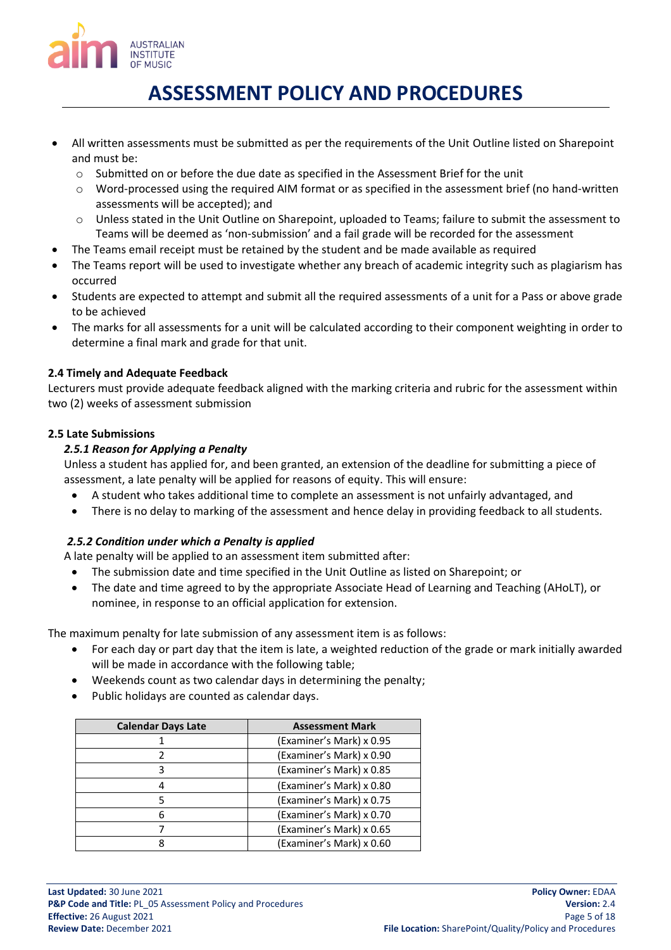

- All written assessments must be submitted as per the requirements of the Unit Outline listed on Sharepoint and must be:
	- o Submitted on or before the due date as specified in the Assessment Brief for the unit
	- $\circ$  Word-processed using the required AIM format or as specified in the assessment brief (no hand-written assessments will be accepted); and
	- o Unless stated in the Unit Outline on Sharepoint, uploaded to Teams; failure to submit the assessment to Teams will be deemed as 'non-submission' and a fail grade will be recorded for the assessment
- The Teams email receipt must be retained by the student and be made available as required
- The Teams report will be used to investigate whether any breach of academic integrity such as plagiarism has occurred
- Students are expected to attempt and submit all the required assessments of a unit for a Pass or above grade to be achieved
- The marks for all assessments for a unit will be calculated according to their component weighting in order to determine a final mark and grade for that unit.

# <span id="page-4-0"></span>**2.4 Timely and Adequate Feedback**

Lecturers must provide adequate feedback aligned with the marking criteria and rubric for the assessment within two (2) weeks of assessment submission

## <span id="page-4-2"></span><span id="page-4-1"></span>**2.5 Late Submissions**

# *2.5.1 Reason for Applying a Penalty*

Unless a student has applied for, and been granted, an extension of the deadline for submitting a piece of assessment, a late penalty will be applied for reasons of equity. This will ensure:

- A student who takes additional time to complete an assessment is not unfairly advantaged, and
- There is no delay to marking of the assessment and hence delay in providing feedback to all students.

# <span id="page-4-3"></span>*2.5.2 Condition under which a Penalty is applied*

A late penalty will be applied to an assessment item submitted after:

- The submission date and time specified in the Unit Outline as listed on Sharepoint; or
- The date and time agreed to by the appropriate Associate Head of Learning and Teaching (AHoLT), or nominee, in response to an official application for extension.

The maximum penalty for late submission of any assessment item is as follows:

- For each day or part day that the item is late, a weighted reduction of the grade or mark initially awarded will be made in accordance with the following table;
- Weekends count as two calendar days in determining the penalty;
- Public holidays are counted as calendar days.

| <b>Calendar Days Late</b> | <b>Assessment Mark</b>   |
|---------------------------|--------------------------|
|                           | (Examiner's Mark) x 0.95 |
|                           | (Examiner's Mark) x 0.90 |
| 3                         | (Examiner's Mark) x 0.85 |
| 4                         | (Examiner's Mark) x 0.80 |
| 5                         | (Examiner's Mark) x 0.75 |
| 6                         | (Examiner's Mark) x 0.70 |
|                           | (Examiner's Mark) x 0.65 |
| 8                         | (Examiner's Mark) x 0.60 |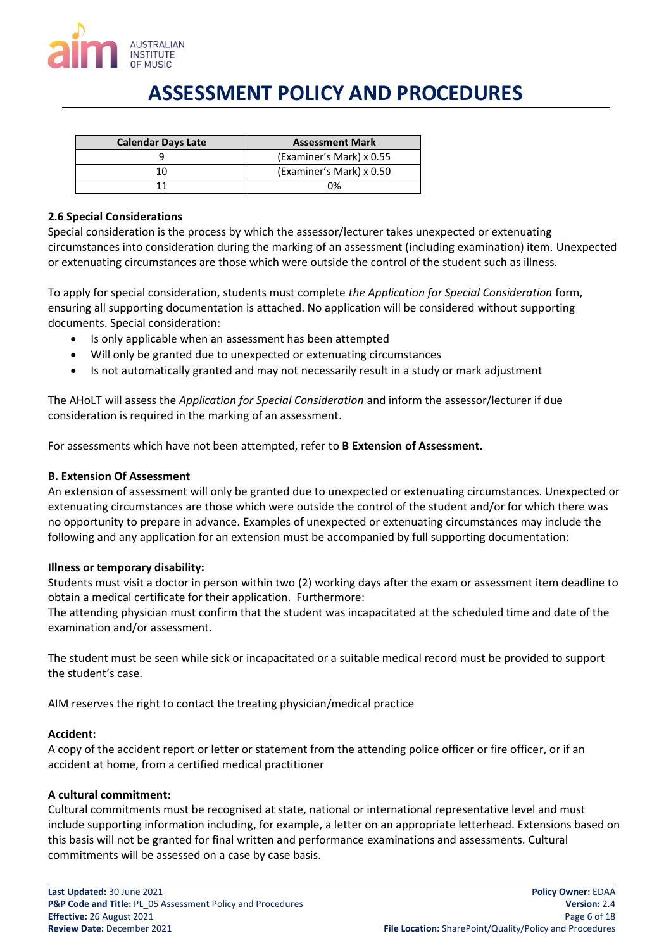

| <b>Calendar Days Late</b> | <b>Assessment Mark</b>   |
|---------------------------|--------------------------|
|                           | (Examiner's Mark) x 0.55 |
| 11                        | (Examiner's Mark) x 0.50 |
|                           | በ%                       |

### <span id="page-5-0"></span>**2.6 Special Considerations**

Special consideration is the process by which the assessor/lecturer takes unexpected or extenuating circumstances into consideration during the marking of an assessment (including examination) item. Unexpected or extenuating circumstances are those which were outside the control of the student such as illness.

To apply for special consideration, students must complete *the Application for Special Consideration* form, ensuring all supporting documentation is attached. No application will be considered without supporting documents. Special consideration:

- Is only applicable when an assessment has been attempted
- Will only be granted due to unexpected or extenuating circumstances
- Is not automatically granted and may not necessarily result in a study or mark adjustment

The AHoLT will assess the *Application for Special Consideration* and inform the assessor/lecturer if due consideration is required in the marking of an assessment.

For assessments which have not been attempted, refer to **B Extension of Assessment.**

## <span id="page-5-1"></span>**B. Extension Of Assessment**

An extension of assessment will only be granted due to unexpected or extenuating circumstances. Unexpected or extenuating circumstances are those which were outside the control of the student and/or for which there was no opportunity to prepare in advance. Examples of unexpected or extenuating circumstances may include the following and any application for an extension must be accompanied by full supporting documentation:

### **Illness or temporary disability:**

Students must visit a doctor in person within two (2) working days after the exam or assessment item deadline to obtain a medical certificate for their application. Furthermore:

The attending physician must confirm that the student was incapacitated at the scheduled time and date of the examination and/or assessment.

The student must be seen while sick or incapacitated or a suitable medical record must be provided to support the student's case.

AIM reserves the right to contact the treating physician/medical practice

### **Accident:**

A copy of the accident report or letter or statement from the attending police officer or fire officer, or if an accident at home, from a certified medical practitioner

### **A cultural commitment:**

Cultural commitments must be recognised at state, national or international representative level and must include supporting information including, for example, a letter on an appropriate letterhead. Extensions based on this basis will not be granted for final written and performance examinations and assessments. Cultural commitments will be assessed on a case by case basis.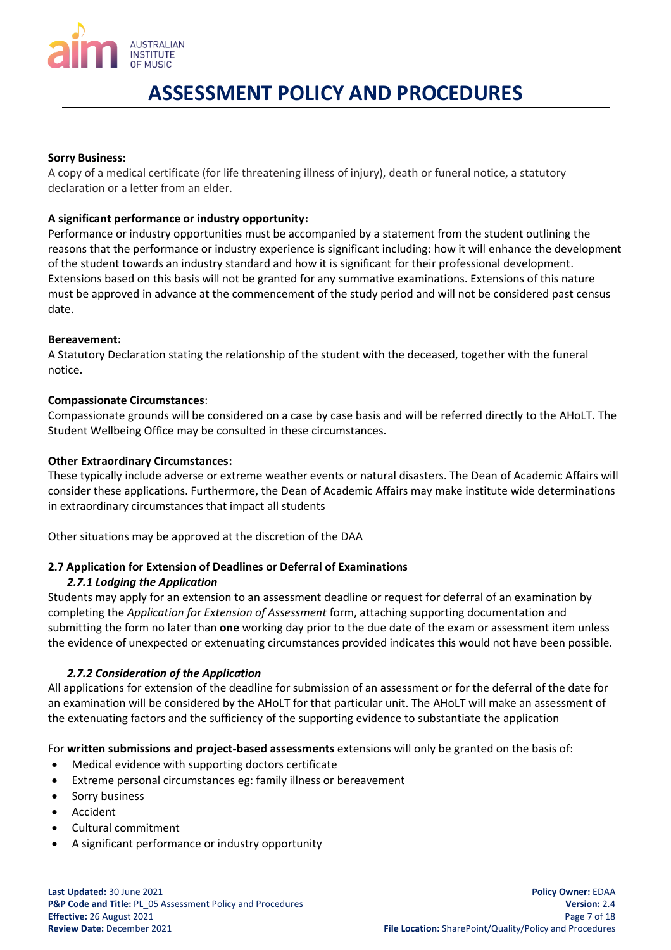

### **Sorry Business:**

A copy of a medical certificate (for life threatening illness of injury), death or funeral notice, a statutory declaration or a letter from an elder.

### **A significant performance or industry opportunity:**

Performance or industry opportunities must be accompanied by a statement from the student outlining the reasons that the performance or industry experience is significant including: how it will enhance the development of the student towards an industry standard and how it is significant for their professional development. Extensions based on this basis will not be granted for any summative examinations. Extensions of this nature must be approved in advance at the commencement of the study period and will not be considered past census date.

### **Bereavement:**

A Statutory Declaration stating the relationship of the student with the deceased, together with the funeral notice.

### **Compassionate Circumstances**:

Compassionate grounds will be considered on a case by case basis and will be referred directly to the AHoLT. The Student Wellbeing Office may be consulted in these circumstances.

### **Other Extraordinary Circumstances:**

These typically include adverse or extreme weather events or natural disasters. The Dean of Academic Affairs will consider these applications. Furthermore, the Dean of Academic Affairs may make institute wide determinations in extraordinary circumstances that impact all students

Other situations may be approved at the discretion of the DAA

### <span id="page-6-1"></span><span id="page-6-0"></span>**2.7 Application for Extension of Deadlines or Deferral of Examinations**

### *2.7.1 Lodging the Application*

Students may apply for an extension to an assessment deadline or request for deferral of an examination by completing the *Application for Extension of Assessment* form, attaching supporting documentation and submitting the form no later than **one** working day prior to the due date of the exam or assessment item unless the evidence of unexpected or extenuating circumstances provided indicates this would not have been possible.

### *2.7.2 Consideration of the Application*

<span id="page-6-2"></span>All applications for extension of the deadline for submission of an assessment or for the deferral of the date for an examination will be considered by the AHoLT for that particular unit. The AHoLT will make an assessment of the extenuating factors and the sufficiency of the supporting evidence to substantiate the application

For **written submissions and project-based assessments** extensions will only be granted on the basis of:

- Medical evidence with supporting doctors certificate
- Extreme personal circumstances eg: family illness or bereavement
- Sorry business
- Accident
- Cultural commitment
- A significant performance or industry opportunity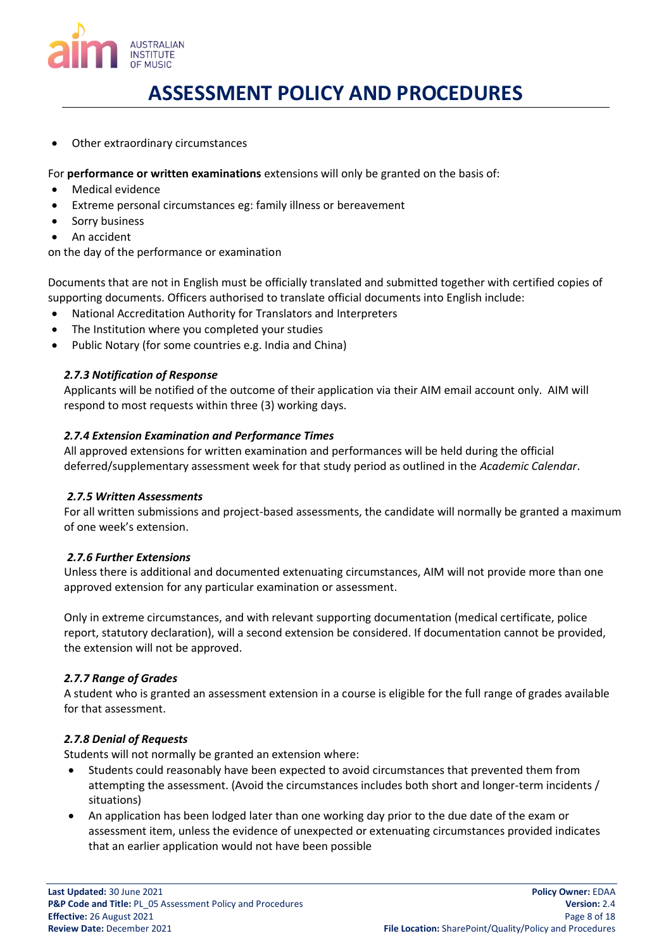

Other extraordinary circumstances

For **performance or written examinations** extensions will only be granted on the basis of:

- Medical evidence
- Extreme personal circumstances eg: family illness or bereavement
- Sorry business
- An accident

on the day of the performance or examination

Documents that are not in English must be officially translated and submitted together with certified copies of supporting documents. Officers authorised to translate official documents into English include:

- National Accreditation Authority for Translators and Interpreters
- The Institution where you completed your studies
- Public Notary (for some countries e.g. India and China)

## <span id="page-7-0"></span>*2.7.3 Notification of Response*

Applicants will be notified of the outcome of their application via their AIM email account only. AIM will respond to most requests within three (3) working days.

## <span id="page-7-1"></span>*2.7.4 Extension Examination and Performance Times*

All approved extensions for written examination and performances will be held during the official deferred/supplementary assessment week for that study period as outlined in the *Academic Calendar*.

### <span id="page-7-2"></span>*2.7.5 Written Assessments*

For all written submissions and project-based assessments, the candidate will normally be granted a maximum of one week's extension.

### <span id="page-7-3"></span>*2.7.6 Further Extensions*

Unless there is additional and documented extenuating circumstances, AIM will not provide more than one approved extension for any particular examination or assessment.

Only in extreme circumstances, and with relevant supporting documentation (medical certificate, police report, statutory declaration), will a second extension be considered. If documentation cannot be provided, the extension will not be approved.

### <span id="page-7-4"></span>*2.7.7 Range of Grades*

A student who is granted an assessment extension in a course is eligible for the full range of grades available for that assessment.

## <span id="page-7-5"></span>*2.7.8 Denial of Requests*

Students will not normally be granted an extension where:

- Students could reasonably have been expected to avoid circumstances that prevented them from attempting the assessment. (Avoid the circumstances includes both short and longer-term incidents / situations)
- An application has been lodged later than one working day prior to the due date of the exam or assessment item, unless the evidence of unexpected or extenuating circumstances provided indicates that an earlier application would not have been possible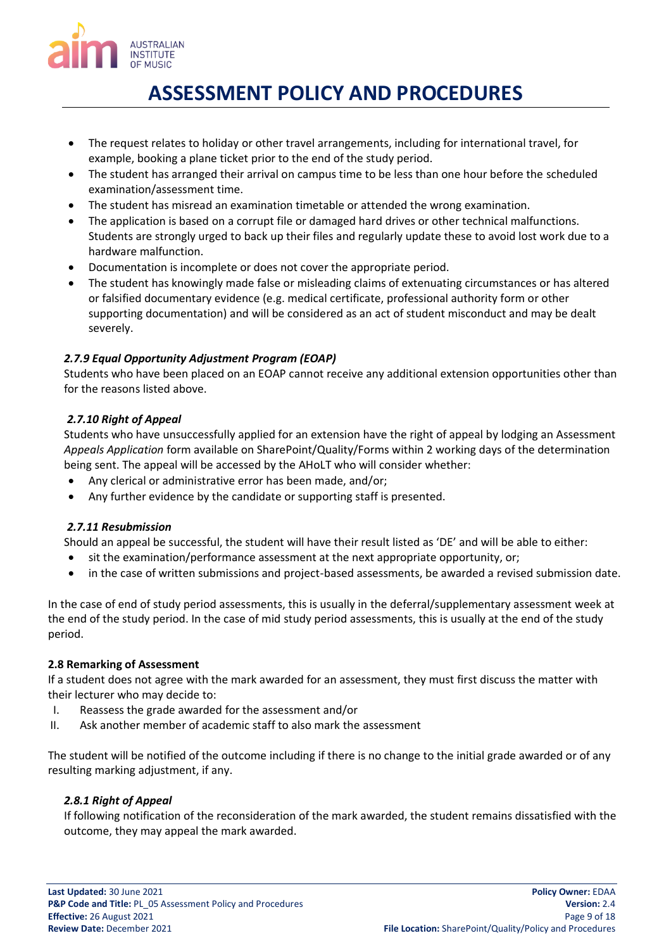

- The request relates to holiday or other travel arrangements, including for international travel, for example, booking a plane ticket prior to the end of the study period.
- The student has arranged their arrival on campus time to be less than one hour before the scheduled examination/assessment time.
- The student has misread an examination timetable or attended the wrong examination.
- The application is based on a corrupt file or damaged hard drives or other technical malfunctions. Students are strongly urged to back up their files and regularly update these to avoid lost work due to a hardware malfunction.
- Documentation is incomplete or does not cover the appropriate period.
- The student has knowingly made false or misleading claims of extenuating circumstances or has altered or falsified documentary evidence (e.g. medical certificate, professional authority form or other supporting documentation) and will be considered as an act of student misconduct and may be dealt severely.

# <span id="page-8-0"></span>*2.7.9 Equal Opportunity Adjustment Program (EOAP)*

Students who have been placed on an EOAP cannot receive any additional extension opportunities other than for the reasons listed above.

## <span id="page-8-1"></span>*2.7.10 Right of Appeal*

Students who have unsuccessfully applied for an extension have the right of appeal by lodging an Assessment *Appeals Application* form available on SharePoint/Quality/Forms within 2 working days of the determination being sent. The appeal will be accessed by the AHoLT who will consider whether:

- Any clerical or administrative error has been made, and/or;
- Any further evidence by the candidate or supporting staff is presented.

## <span id="page-8-2"></span>*2.7.11 Resubmission*

Should an appeal be successful, the student will have their result listed as 'DE' and will be able to either:

- sit the examination/performance assessment at the next appropriate opportunity, or;
- in the case of written submissions and project-based assessments, be awarded a revised submission date.

In the case of end of study period assessments, this is usually in the deferral/supplementary assessment week at the end of the study period. In the case of mid study period assessments, this is usually at the end of the study period.

## <span id="page-8-3"></span>**2.8 Remarking of Assessment**

If a student does not agree with the mark awarded for an assessment, they must first discuss the matter with their lecturer who may decide to:

- I. Reassess the grade awarded for the assessment and/or
- II. Ask another member of academic staff to also mark the assessment

The student will be notified of the outcome including if there is no change to the initial grade awarded or of any resulting marking adjustment, if any.

## <span id="page-8-4"></span>*2.8.1 Right of Appeal*

If following notification of the reconsideration of the mark awarded, the student remains dissatisfied with the outcome, they may appeal the mark awarded.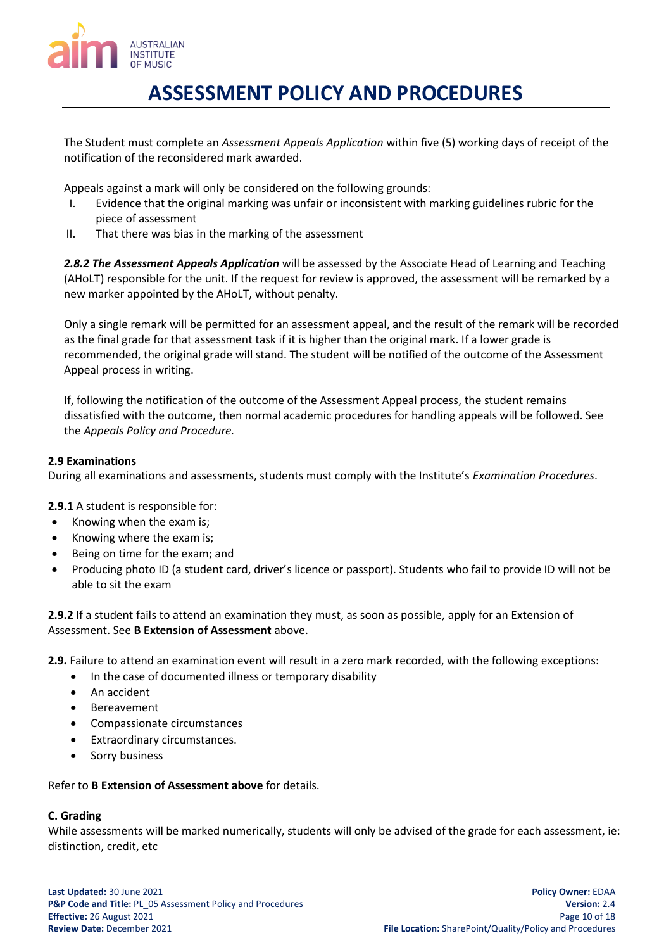

The Student must complete an *Assessment Appeals Application* within five (5) working days of receipt of the notification of the reconsidered mark awarded.

Appeals against a mark will only be considered on the following grounds:

- I. Evidence that the original marking was unfair or inconsistent with marking guidelines rubric for the piece of assessment
- II. That there was bias in the marking of the assessment

<span id="page-9-0"></span>*2.8.2 The Assessment Appeals Application* will be assessed by the Associate Head of Learning and Teaching (AHoLT) responsible for the unit. If the request for review is approved, the assessment will be remarked by a new marker appointed by the AHoLT, without penalty.

Only a single remark will be permitted for an assessment appeal, and the result of the remark will be recorded as the final grade for that assessment task if it is higher than the original mark. If a lower grade is recommended, the original grade will stand. The student will be notified of the outcome of the Assessment Appeal process in writing.

If, following the notification of the outcome of the Assessment Appeal process, the student remains dissatisfied with the outcome, then normal academic procedures for handling appeals will be followed. See the *Appeals Policy and Procedure.*

## <span id="page-9-1"></span>**2.9 Examinations**

During all examinations and assessments, students must comply with the Institute's *Examination Procedures*.

**2.9.1** A student is responsible for:

- Knowing when the exam is;
- Knowing where the exam is;
- Being on time for the exam; and
- Producing photo ID (a student card, driver's licence or passport). Students who fail to provide ID will not be able to sit the exam

**2.9.2** If a student fails to attend an examination they must, as soon as possible, apply for an Extension of Assessment. See **B Extension of Assessment** above.

**2.9.** Failure to attend an examination event will result in a zero mark recorded, with the following exceptions:

- In the case of documented illness or temporary disability
- An accident
- **Bereavement**
- Compassionate circumstances
- Extraordinary circumstances.
- Sorry business

Refer to **B Extension of Assessment above** for details.

### <span id="page-9-2"></span>**C. Grading**

While assessments will be marked numerically, students will only be advised of the grade for each assessment, ie: distinction, credit, etc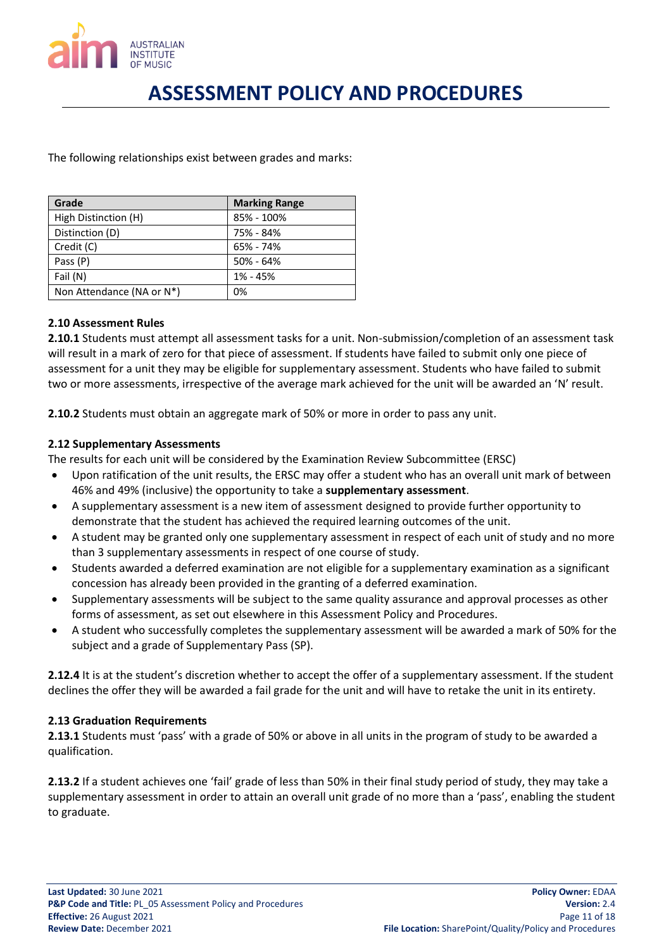

The following relationships exist between grades and marks:

| Grade                     | <b>Marking Range</b> |
|---------------------------|----------------------|
| High Distinction (H)      | 85% - 100%           |
| Distinction (D)           | 75% - 84%            |
| Credit (C)                | 65% - 74%            |
| Pass (P)                  | $50\% - 64\%$        |
| Fail (N)                  | 1% - 45%             |
| Non Attendance (NA or N*) | 0%                   |

## <span id="page-10-0"></span>**2.10 Assessment Rules**

**2.10.1** Students must attempt all assessment tasks for a unit. Non-submission/completion of an assessment task will result in a mark of zero for that piece of assessment. If students have failed to submit only one piece of assessment for a unit they may be eligible for supplementary assessment. Students who have failed to submit two or more assessments, irrespective of the average mark achieved for the unit will be awarded an 'N' result.

**2.10.2** Students must obtain an aggregate mark of 50% or more in order to pass any unit.

## <span id="page-10-1"></span>**2.12 Supplementary Assessments**

The results for each unit will be considered by the Examination Review Subcommittee (ERSC)

- Upon ratification of the unit results, the ERSC may offer a student who has an overall unit mark of between 46% and 49% (inclusive) the opportunity to take a **supplementary assessment**.
- A supplementary assessment is a new item of assessment designed to provide further opportunity to demonstrate that the student has achieved the required learning outcomes of the unit.
- A student may be granted only one supplementary assessment in respect of each unit of study and no more than 3 supplementary assessments in respect of one course of study.
- Students awarded a deferred examination are not eligible for a supplementary examination as a significant concession has already been provided in the granting of a deferred examination.
- Supplementary assessments will be subject to the same quality assurance and approval processes as other forms of assessment, as set out elsewhere in this Assessment Policy and Procedures.
- A student who successfully completes the supplementary assessment will be awarded a mark of 50% for the subject and a grade of Supplementary Pass (SP).

**2.12.4** It is at the student's discretion whether to accept the offer of a supplementary assessment. If the student declines the offer they will be awarded a fail grade for the unit and will have to retake the unit in its entirety.

### <span id="page-10-2"></span>**2.13 Graduation Requirements**

**2.13.1** Students must 'pass' with a grade of 50% or above in all units in the program of study to be awarded a qualification.

**2.13.2** If a student achieves one 'fail' grade of less than 50% in their final study period of study, they may take a supplementary assessment in order to attain an overall unit grade of no more than a 'pass', enabling the student to graduate.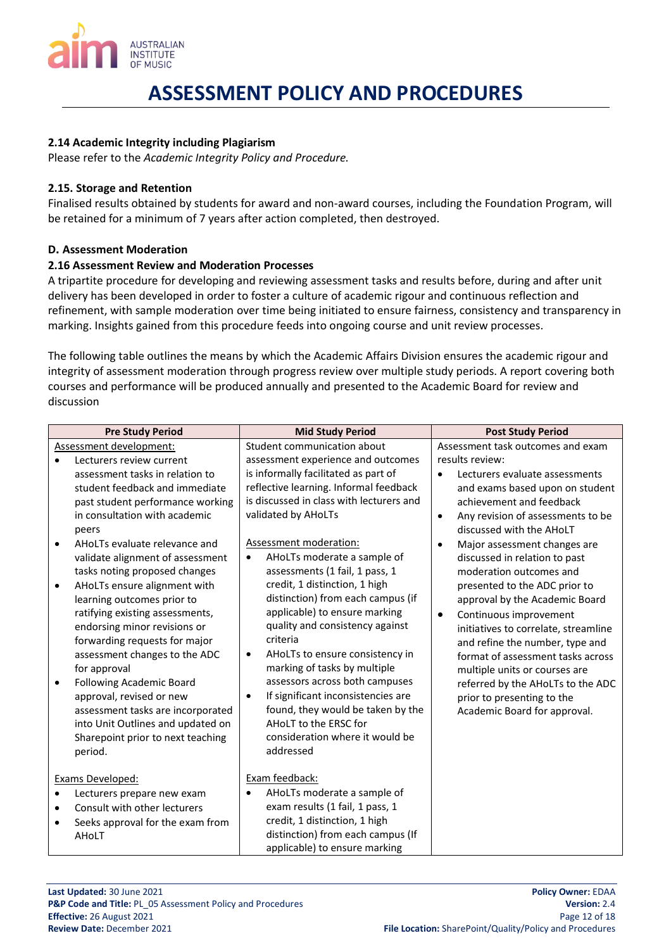

## <span id="page-11-0"></span>**2.14 Academic Integrity including Plagiarism**

Please refer to the *Academic Integrity Policy and Procedure.*

## <span id="page-11-1"></span>**2.15. Storage and Retention**

Finalised results obtained by students for award and non-award courses, including the Foundation Program, will be retained for a minimum of 7 years after action completed, then destroyed.

## <span id="page-11-2"></span>**D. Assessment Moderation**

## <span id="page-11-3"></span>**2.16 Assessment Review and Moderation Processes**

A tripartite procedure for developing and reviewing assessment tasks and results before, during and after unit delivery has been developed in order to foster a culture of academic rigour and continuous reflection and refinement, with sample moderation over time being initiated to ensure fairness, consistency and transparency in marking. Insights gained from this procedure feeds into ongoing course and unit review processes.

The following table outlines the means by which the Academic Affairs Division ensures the academic rigour and integrity of assessment moderation through progress review over multiple study periods. A report covering both courses and performance will be produced annually and presented to the Academic Board for review and discussion

|                                                              | <b>Pre Study Period</b>                                                                                                                                                                                                                                                                                                                                                                                                                                                                                                                                                                                                       | <b>Mid Study Period</b>                                                                                                                                                                                                                                                                                                                                                                                                                                                                                                                                                                                                                                                                                                          | <b>Post Study Period</b>                                                                                                                                                                                                                                                                                                                                                                                                                                                                                                                                                                                                                                              |
|--------------------------------------------------------------|-------------------------------------------------------------------------------------------------------------------------------------------------------------------------------------------------------------------------------------------------------------------------------------------------------------------------------------------------------------------------------------------------------------------------------------------------------------------------------------------------------------------------------------------------------------------------------------------------------------------------------|----------------------------------------------------------------------------------------------------------------------------------------------------------------------------------------------------------------------------------------------------------------------------------------------------------------------------------------------------------------------------------------------------------------------------------------------------------------------------------------------------------------------------------------------------------------------------------------------------------------------------------------------------------------------------------------------------------------------------------|-----------------------------------------------------------------------------------------------------------------------------------------------------------------------------------------------------------------------------------------------------------------------------------------------------------------------------------------------------------------------------------------------------------------------------------------------------------------------------------------------------------------------------------------------------------------------------------------------------------------------------------------------------------------------|
| Assessment development:                                      |                                                                                                                                                                                                                                                                                                                                                                                                                                                                                                                                                                                                                               | Student communication about                                                                                                                                                                                                                                                                                                                                                                                                                                                                                                                                                                                                                                                                                                      | Assessment task outcomes and exam                                                                                                                                                                                                                                                                                                                                                                                                                                                                                                                                                                                                                                     |
| peers<br>for approval<br>approval, revised or new<br>period. | Lecturers review current<br>assessment tasks in relation to<br>student feedback and immediate<br>past student performance working<br>in consultation with academic<br>AHoLTs evaluate relevance and<br>validate alignment of assessment<br>tasks noting proposed changes<br>AHoLTs ensure alignment with<br>learning outcomes prior to<br>ratifying existing assessments,<br>endorsing minor revisions or<br>forwarding requests for major<br>assessment changes to the ADC<br><b>Following Academic Board</b><br>assessment tasks are incorporated<br>into Unit Outlines and updated on<br>Sharepoint prior to next teaching | assessment experience and outcomes<br>is informally facilitated as part of<br>reflective learning. Informal feedback<br>is discussed in class with lecturers and<br>validated by AHoLTs<br>Assessment moderation:<br>AHoLTs moderate a sample of<br>$\bullet$<br>assessments (1 fail, 1 pass, 1<br>credit, 1 distinction, 1 high<br>distinction) from each campus (if<br>applicable) to ensure marking<br>quality and consistency against<br>criteria<br>AHoLTs to ensure consistency in<br>٠<br>marking of tasks by multiple<br>assessors across both campuses<br>If significant inconsistencies are<br>$\bullet$<br>found, they would be taken by the<br>AHoLT to the ERSC for<br>consideration where it would be<br>addressed | results review:<br>Lecturers evaluate assessments<br>$\bullet$<br>and exams based upon on student<br>achievement and feedback<br>Any revision of assessments to be<br>$\bullet$<br>discussed with the AHoLT<br>Major assessment changes are<br>discussed in relation to past<br>moderation outcomes and<br>presented to the ADC prior to<br>approval by the Academic Board<br>Continuous improvement<br>$\bullet$<br>initiatives to correlate, streamline<br>and refine the number, type and<br>format of assessment tasks across<br>multiple units or courses are<br>referred by the AHoLTs to the ADC<br>prior to presenting to the<br>Academic Board for approval. |
| Exams Developed:<br>AHoLT                                    | Lecturers prepare new exam<br>Consult with other lecturers<br>Seeks approval for the exam from                                                                                                                                                                                                                                                                                                                                                                                                                                                                                                                                | Exam feedback:<br>AHoLTs moderate a sample of<br>exam results (1 fail, 1 pass, 1<br>credit, 1 distinction, 1 high<br>distinction) from each campus (If<br>applicable) to ensure marking                                                                                                                                                                                                                                                                                                                                                                                                                                                                                                                                          |                                                                                                                                                                                                                                                                                                                                                                                                                                                                                                                                                                                                                                                                       |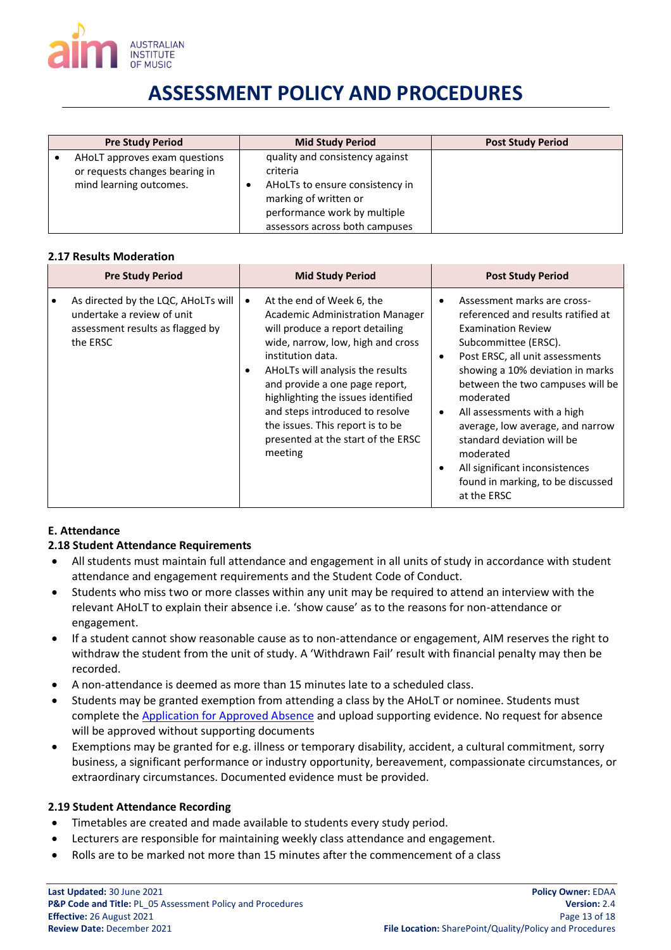

| <b>Pre Study Period</b>                                                                    | <b>Mid Study Period</b>                                                                                                                                                   | <b>Post Study Period</b> |
|--------------------------------------------------------------------------------------------|---------------------------------------------------------------------------------------------------------------------------------------------------------------------------|--------------------------|
| AHoLT approves exam questions<br>or requests changes bearing in<br>mind learning outcomes. | quality and consistency against<br>criteria<br>AHoLTs to ensure consistency in<br>marking of written or<br>performance work by multiple<br>assessors across both campuses |                          |

#### **2.17 Results Moderation**

|          | <b>Pre Study Period</b>                                                                               |           | <b>Mid Study Period</b>                                                                                                                                                                                                                                                                                                                                                                              |                | <b>Post Study Period</b>                                                                                                                                                                                                                                                                                                                                                                                                                           |
|----------|-------------------------------------------------------------------------------------------------------|-----------|------------------------------------------------------------------------------------------------------------------------------------------------------------------------------------------------------------------------------------------------------------------------------------------------------------------------------------------------------------------------------------------------------|----------------|----------------------------------------------------------------------------------------------------------------------------------------------------------------------------------------------------------------------------------------------------------------------------------------------------------------------------------------------------------------------------------------------------------------------------------------------------|
| the ERSC | As directed by the LQC, AHoLTs will<br>undertake a review of unit<br>assessment results as flagged by | $\bullet$ | At the end of Week 6, the<br><b>Academic Administration Manager</b><br>will produce a report detailing<br>wide, narrow, low, high and cross<br>institution data.<br>AHOLTs will analysis the results<br>and provide a one page report,<br>highlighting the issues identified<br>and steps introduced to resolve<br>the issues. This report is to be<br>presented at the start of the ERSC<br>meeting | ٠<br>$\bullet$ | Assessment marks are cross-<br>referenced and results ratified at<br><b>Examination Review</b><br>Subcommittee (ERSC).<br>Post ERSC, all unit assessments<br>showing a 10% deviation in marks<br>between the two campuses will be<br>moderated<br>All assessments with a high<br>average, low average, and narrow<br>standard deviation will be<br>moderated<br>All significant inconsistences<br>found in marking, to be discussed<br>at the ERSC |

### <span id="page-12-0"></span>**E. Attendance**

### <span id="page-12-1"></span>**2.18 Student Attendance Requirements**

- All students must maintain full attendance and engagement in all units of study in accordance with student attendance and engagement requirements and the Student Code of Conduct.
- Students who miss two or more classes within any unit may be required to attend an interview with the relevant AHoLT to explain their absence i.e. 'show cause' as to the reasons for non-attendance or engagement.
- If a student cannot show reasonable cause as to non-attendance or engagement, AIM reserves the right to withdraw the student from the unit of study. A 'Withdrawn Fail' result with financial penalty may then be recorded.
- A non-attendance is deemed as more than 15 minutes late to a scheduled class.
- Students may be granted exemption from attending a class by the AHoLT or nominee. Students must complete the [Application for Approved Absence](http://eforms.aim.edu.au/application-for-approved-absence.html) and upload supporting evidence. No request for absence will be approved without supporting documents
- Exemptions may be granted for e.g. illness or temporary disability, accident, a cultural commitment, sorry business, a significant performance or industry opportunity, bereavement, compassionate circumstances, or extraordinary circumstances. Documented evidence must be provided.

### <span id="page-12-2"></span>**2.19 Student Attendance Recording**

- Timetables are created and made available to students every study period.
- Lecturers are responsible for maintaining weekly class attendance and engagement.
- Rolls are to be marked not more than 15 minutes after the commencement of a class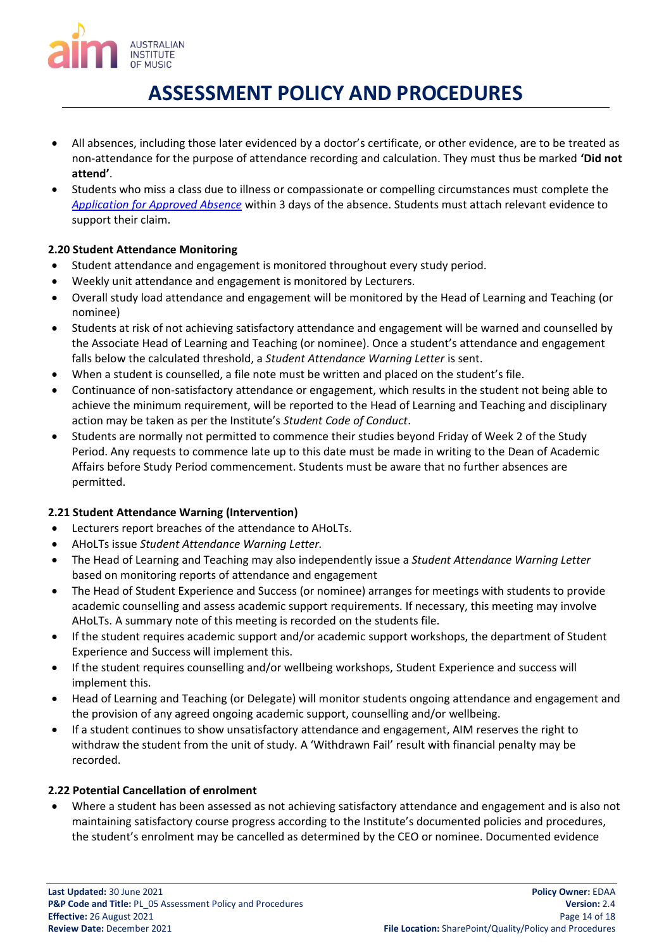

- All absences, including those later evidenced by a doctor's certificate, or other evidence, are to be treated as non-attendance for the purpose of attendance recording and calculation. They must thus be marked **'Did not attend'**.
- Students who miss a class due to illness or compassionate or compelling circumstances must complete the *[Application for Approved Absence](http://eforms.aim.edu.au/application-for-approved-absence.html)* within 3 days of the absence. Students must attach relevant evidence to support their claim.

## <span id="page-13-0"></span>**2.20 Student Attendance Monitoring**

- Student attendance and engagement is monitored throughout every study period.
- Weekly unit attendance and engagement is monitored by Lecturers.
- Overall study load attendance and engagement will be monitored by the Head of Learning and Teaching (or nominee)
- Students at risk of not achieving satisfactory attendance and engagement will be warned and counselled by the Associate Head of Learning and Teaching (or nominee). Once a student's attendance and engagement falls below the calculated threshold, a *Student Attendance Warning Letter* is sent.
- When a student is counselled, a file note must be written and placed on the student's file.
- Continuance of non-satisfactory attendance or engagement, which results in the student not being able to achieve the minimum requirement, will be reported to the Head of Learning and Teaching and disciplinary action may be taken as per the Institute's *Student Code of Conduct*.
- Students are normally not permitted to commence their studies beyond Friday of Week 2 of the Study Period. Any requests to commence late up to this date must be made in writing to the Dean of Academic Affairs before Study Period commencement. Students must be aware that no further absences are permitted.

## <span id="page-13-1"></span>**2.21 Student Attendance Warning (Intervention)**

- Lecturers report breaches of the attendance to AHoLTs.
- AHoLTs issue *Student Attendance Warning Letter.*
- The Head of Learning and Teaching may also independently issue a *Student Attendance Warning Letter*  based on monitoring reports of attendance and engagement
- The Head of Student Experience and Success (or nominee) arranges for meetings with students to provide academic counselling and assess academic support requirements. If necessary, this meeting may involve AHoLTs. A summary note of this meeting is recorded on the students file.
- If the student requires academic support and/or academic support workshops, the department of Student Experience and Success will implement this.
- If the student requires counselling and/or wellbeing workshops, Student Experience and success will implement this.
- Head of Learning and Teaching (or Delegate) will monitor students ongoing attendance and engagement and the provision of any agreed ongoing academic support, counselling and/or wellbeing.
- If a student continues to show unsatisfactory attendance and engagement, AIM reserves the right to withdraw the student from the unit of study. A 'Withdrawn Fail' result with financial penalty may be recorded.

## <span id="page-13-2"></span>**2.22 Potential Cancellation of enrolment**

• Where a student has been assessed as not achieving satisfactory attendance and engagement and is also not maintaining satisfactory course progress according to the Institute's documented policies and procedures, the student's enrolment may be cancelled as determined by the CEO or nominee. Documented evidence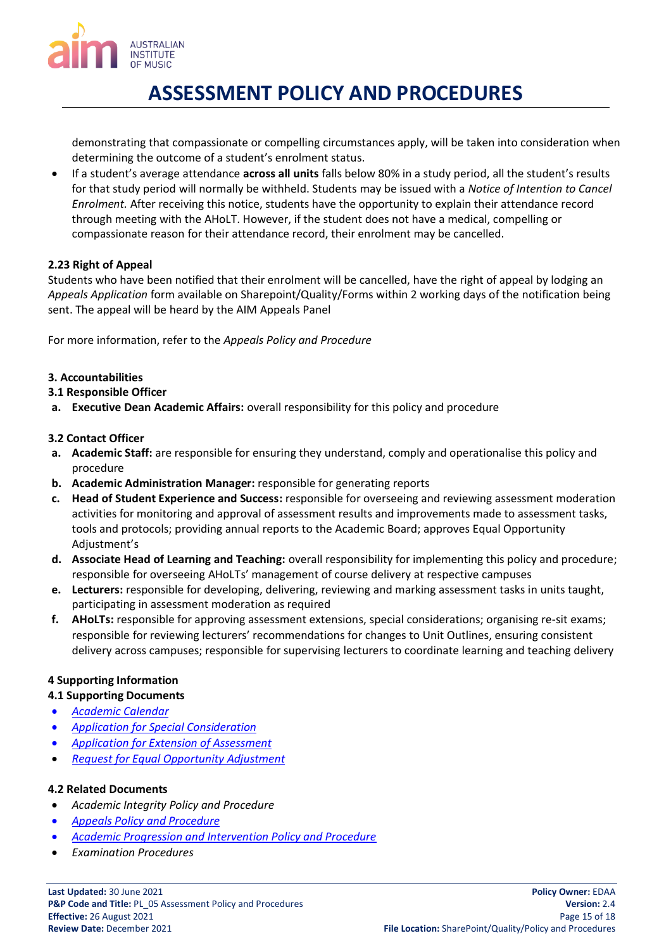

demonstrating that compassionate or compelling circumstances apply, will be taken into consideration when determining the outcome of a student's enrolment status.

• If a student's average attendance **across all units** falls below 80% in a study period, all the student's results for that study period will normally be withheld. Students may be issued with a *Notice of Intention to Cancel Enrolment.* After receiving this notice, students have the opportunity to explain their attendance record through meeting with the AHoLT. However, if the student does not have a medical, compelling or compassionate reason for their attendance record, their enrolment may be cancelled.

## <span id="page-14-0"></span>**2.23 Right of Appeal**

Students who have been notified that their enrolment will be cancelled, have the right of appeal by lodging an *Appeals Application* form available on Sharepoint/Quality/Forms within 2 working days of the notification being sent. The appeal will be heard by the AIM Appeals Panel

For more information, refer to the *Appeals Policy and Procedure*

## <span id="page-14-1"></span>**3. Accountabilities**

- <span id="page-14-2"></span>**3.1 Responsible Officer**
- **a. Executive Dean Academic Affairs:** overall responsibility for this policy and procedure

## <span id="page-14-3"></span>**3.2 Contact Officer**

- **a. Academic Staff:** are responsible for ensuring they understand, comply and operationalise this policy and procedure
- **b. Academic Administration Manager:** responsible for generating reports
- **c. Head of Student Experience and Success:** responsible for overseeing and reviewing assessment moderation activities for monitoring and approval of assessment results and improvements made to assessment tasks, tools and protocols; providing annual reports to the Academic Board; approves Equal Opportunity Adjustment's
- **d. Associate Head of Learning and Teaching:** overall responsibility for implementing this policy and procedure; responsible for overseeing AHoLTs' management of course delivery at respective campuses
- **e. Lecturers:** responsible for developing, delivering, reviewing and marking assessment tasks in units taught, participating in assessment moderation as required
- **f. AHoLTs:** responsible for approving assessment extensions, special considerations; organising re-sit exams; responsible for reviewing lecturers' recommendations for changes to Unit Outlines, ensuring consistent delivery across campuses; responsible for supervising lecturers to coordinate learning and teaching delivery

## <span id="page-14-4"></span>**4 Supporting Information**

### <span id="page-14-5"></span>**4.1 Supporting Documents**

- *Academic Calendar*
- *[Application for Special Consideration](http://eforms.aim.edu.au/application-for-special-consideration.html)*
- *[Application for Extension of Assessment](http://eforms.aim.edu.au/extension.html)*
- *[Request for Equal Opportunity Adjustment](http://eforms.aim.edu.au/request-for-equal-opportunity-adjustments-student.html)*

### <span id="page-14-6"></span>**4.2 Related Documents**

- *Academic Integrity Policy and Procedure*
- *[Appeals Policy and Procedure](http://eforms.aim.edu.au/app/Policies/Current/Appeals%20Policy%20and%20Procedure.pdf)*
- *[Academic Progression and Intervention Policy and Procedure](https://aimusic.sharepoint.com/Quality/Shared%20Documents?viewpath=%2FQuality%2FShared%20Documents&id=%2FQuality%2FShared%20Documents%2FAcademic%20Progression%20and%20Intervention%20Policy%2Epdf&parent=%2FQuality%2FShared%20Documents)*
- *Examination Procedures*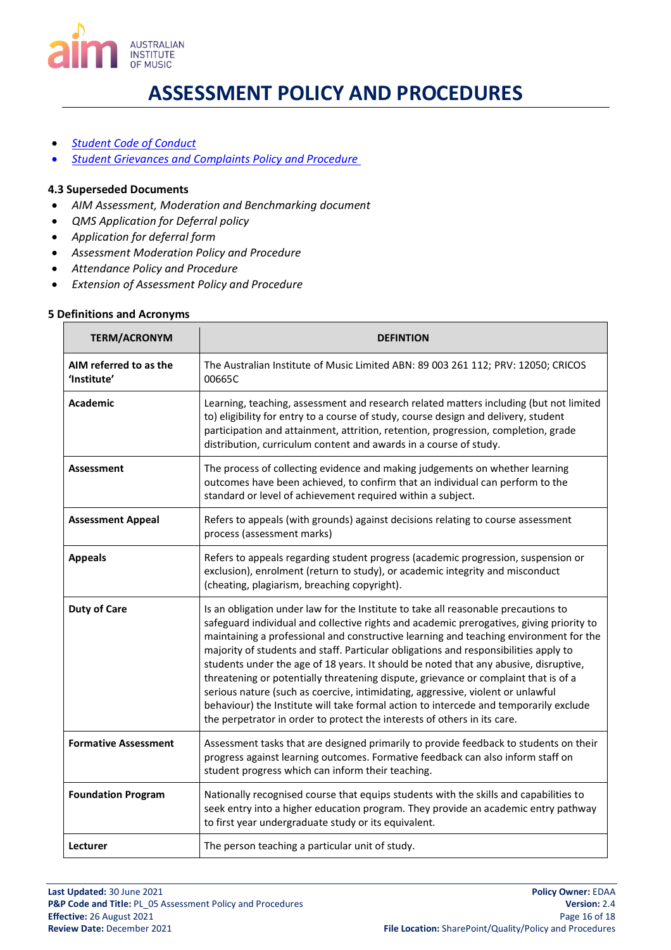

- *[Student Code of Conduct](https://aimusic.sharepoint.com/Quality/Shared%20Documents?viewpath=%2FQuality%2FShared%20Documents&id=%2FQuality%2FShared%20Documents%2FStudent%20Code%20of%20Conduct%2Epdf&parent=%2FQuality%2FShared%20Documents)*
- *[Student Grievances and Complaints Policy and Procedure](http://eforms.aim.edu.au/app/Policies/Current/Student%20Grievances%20and%20Complaints%20Policy%20and%20Procedure.pdf)*

### <span id="page-15-0"></span>**4.3 Superseded Documents**

- *AIM Assessment, Moderation and Benchmarking document*
- *QMS Application for Deferral policy*
- *Application for deferral form*
- *Assessment Moderation Policy and Procedure*
- *Attendance Policy and Procedure*
- *Extension of Assessment Policy and Procedure*

### <span id="page-15-1"></span>**5 Definitions and Acronyms**

| <b>TERM/ACRONYM</b>                   | <b>DEFINTION</b>                                                                                                                                                                                                                                                                                                                                                                                                                                                                                                                                                                                                                                                                                                                                                                                       |
|---------------------------------------|--------------------------------------------------------------------------------------------------------------------------------------------------------------------------------------------------------------------------------------------------------------------------------------------------------------------------------------------------------------------------------------------------------------------------------------------------------------------------------------------------------------------------------------------------------------------------------------------------------------------------------------------------------------------------------------------------------------------------------------------------------------------------------------------------------|
| AIM referred to as the<br>'Institute' | The Australian Institute of Music Limited ABN: 89 003 261 112; PRV: 12050; CRICOS<br>00665C                                                                                                                                                                                                                                                                                                                                                                                                                                                                                                                                                                                                                                                                                                            |
| <b>Academic</b>                       | Learning, teaching, assessment and research related matters including (but not limited<br>to) eligibility for entry to a course of study, course design and delivery, student<br>participation and attainment, attrition, retention, progression, completion, grade<br>distribution, curriculum content and awards in a course of study.                                                                                                                                                                                                                                                                                                                                                                                                                                                               |
| <b>Assessment</b>                     | The process of collecting evidence and making judgements on whether learning<br>outcomes have been achieved, to confirm that an individual can perform to the<br>standard or level of achievement required within a subject.                                                                                                                                                                                                                                                                                                                                                                                                                                                                                                                                                                           |
| <b>Assessment Appeal</b>              | Refers to appeals (with grounds) against decisions relating to course assessment<br>process (assessment marks)                                                                                                                                                                                                                                                                                                                                                                                                                                                                                                                                                                                                                                                                                         |
| <b>Appeals</b>                        | Refers to appeals regarding student progress (academic progression, suspension or<br>exclusion), enrolment (return to study), or academic integrity and misconduct<br>(cheating, plagiarism, breaching copyright).                                                                                                                                                                                                                                                                                                                                                                                                                                                                                                                                                                                     |
| <b>Duty of Care</b>                   | Is an obligation under law for the Institute to take all reasonable precautions to<br>safeguard individual and collective rights and academic prerogatives, giving priority to<br>maintaining a professional and constructive learning and teaching environment for the<br>majority of students and staff. Particular obligations and responsibilities apply to<br>students under the age of 18 years. It should be noted that any abusive, disruptive,<br>threatening or potentially threatening dispute, grievance or complaint that is of a<br>serious nature (such as coercive, intimidating, aggressive, violent or unlawful<br>behaviour) the Institute will take formal action to intercede and temporarily exclude<br>the perpetrator in order to protect the interests of others in its care. |
| <b>Formative Assessment</b>           | Assessment tasks that are designed primarily to provide feedback to students on their<br>progress against learning outcomes. Formative feedback can also inform staff on<br>student progress which can inform their teaching.                                                                                                                                                                                                                                                                                                                                                                                                                                                                                                                                                                          |
| <b>Foundation Program</b>             | Nationally recognised course that equips students with the skills and capabilities to<br>seek entry into a higher education program. They provide an academic entry pathway<br>to first year undergraduate study or its equivalent.                                                                                                                                                                                                                                                                                                                                                                                                                                                                                                                                                                    |
| Lecturer                              | The person teaching a particular unit of study.                                                                                                                                                                                                                                                                                                                                                                                                                                                                                                                                                                                                                                                                                                                                                        |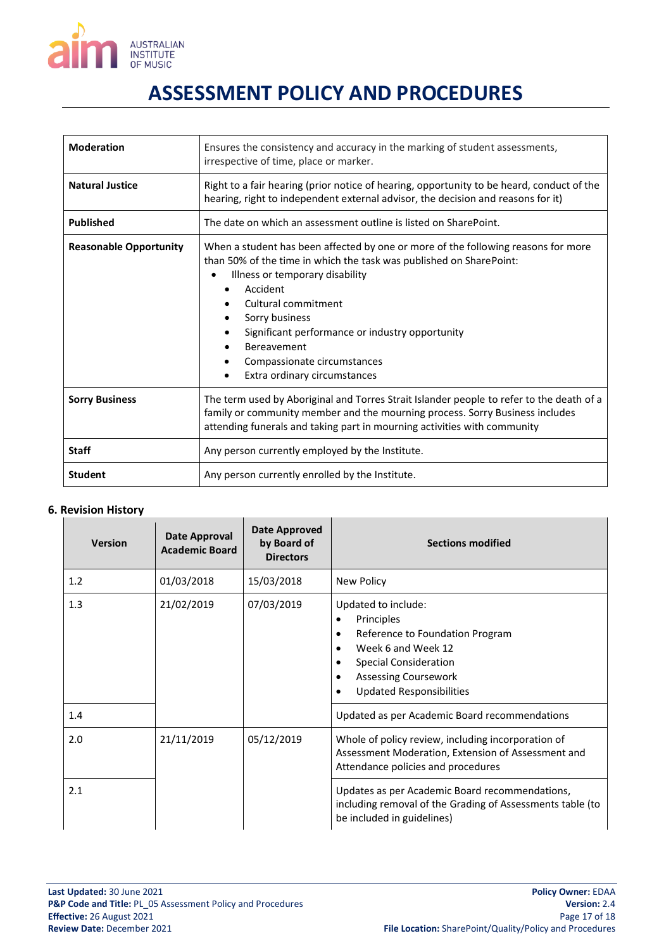

| <b>Moderation</b>             | Ensures the consistency and accuracy in the marking of student assessments,<br>irrespective of time, place or marker.                                                                                                                                                                                                                                                                          |  |  |
|-------------------------------|------------------------------------------------------------------------------------------------------------------------------------------------------------------------------------------------------------------------------------------------------------------------------------------------------------------------------------------------------------------------------------------------|--|--|
| <b>Natural Justice</b>        | Right to a fair hearing (prior notice of hearing, opportunity to be heard, conduct of the<br>hearing, right to independent external advisor, the decision and reasons for it)                                                                                                                                                                                                                  |  |  |
| <b>Published</b>              | The date on which an assessment outline is listed on SharePoint.                                                                                                                                                                                                                                                                                                                               |  |  |
| <b>Reasonable Opportunity</b> | When a student has been affected by one or more of the following reasons for more<br>than 50% of the time in which the task was published on SharePoint:<br>Illness or temporary disability<br>$\bullet$<br>Accident<br>Cultural commitment<br>Sorry business<br>Significant performance or industry opportunity<br>Bereavement<br>Compassionate circumstances<br>Extra ordinary circumstances |  |  |
| <b>Sorry Business</b>         | The term used by Aboriginal and Torres Strait Islander people to refer to the death of a<br>family or community member and the mourning process. Sorry Business includes<br>attending funerals and taking part in mourning activities with community                                                                                                                                           |  |  |
| <b>Staff</b>                  | Any person currently employed by the Institute.                                                                                                                                                                                                                                                                                                                                                |  |  |
| <b>Student</b>                | Any person currently enrolled by the Institute.                                                                                                                                                                                                                                                                                                                                                |  |  |

### <span id="page-16-0"></span>**6. Revision History**

| <b>Version</b> | Date Approval<br><b>Academic Board</b> | Date Approved<br>by Board of<br><b>Directors</b> | <b>Sections modified</b>                                                                                                                                                                                                    |
|----------------|----------------------------------------|--------------------------------------------------|-----------------------------------------------------------------------------------------------------------------------------------------------------------------------------------------------------------------------------|
| 1.2            | 01/03/2018                             | 15/03/2018                                       | New Policy                                                                                                                                                                                                                  |
| 1.3            | 21/02/2019                             | 07/03/2019                                       | Updated to include:<br>Principles<br>٠<br>Reference to Foundation Program<br>$\bullet$<br>Week 6 and Week 12<br><b>Special Consideration</b><br><b>Assessing Coursework</b><br><b>Updated Responsibilities</b><br>$\bullet$ |
| 1.4            |                                        |                                                  | Updated as per Academic Board recommendations                                                                                                                                                                               |
| 2.0            | 21/11/2019                             | 05/12/2019                                       | Whole of policy review, including incorporation of<br>Assessment Moderation, Extension of Assessment and<br>Attendance policies and procedures                                                                              |
| 2.1            |                                        |                                                  | Updates as per Academic Board recommendations,<br>including removal of the Grading of Assessments table (to<br>be included in guidelines)                                                                                   |